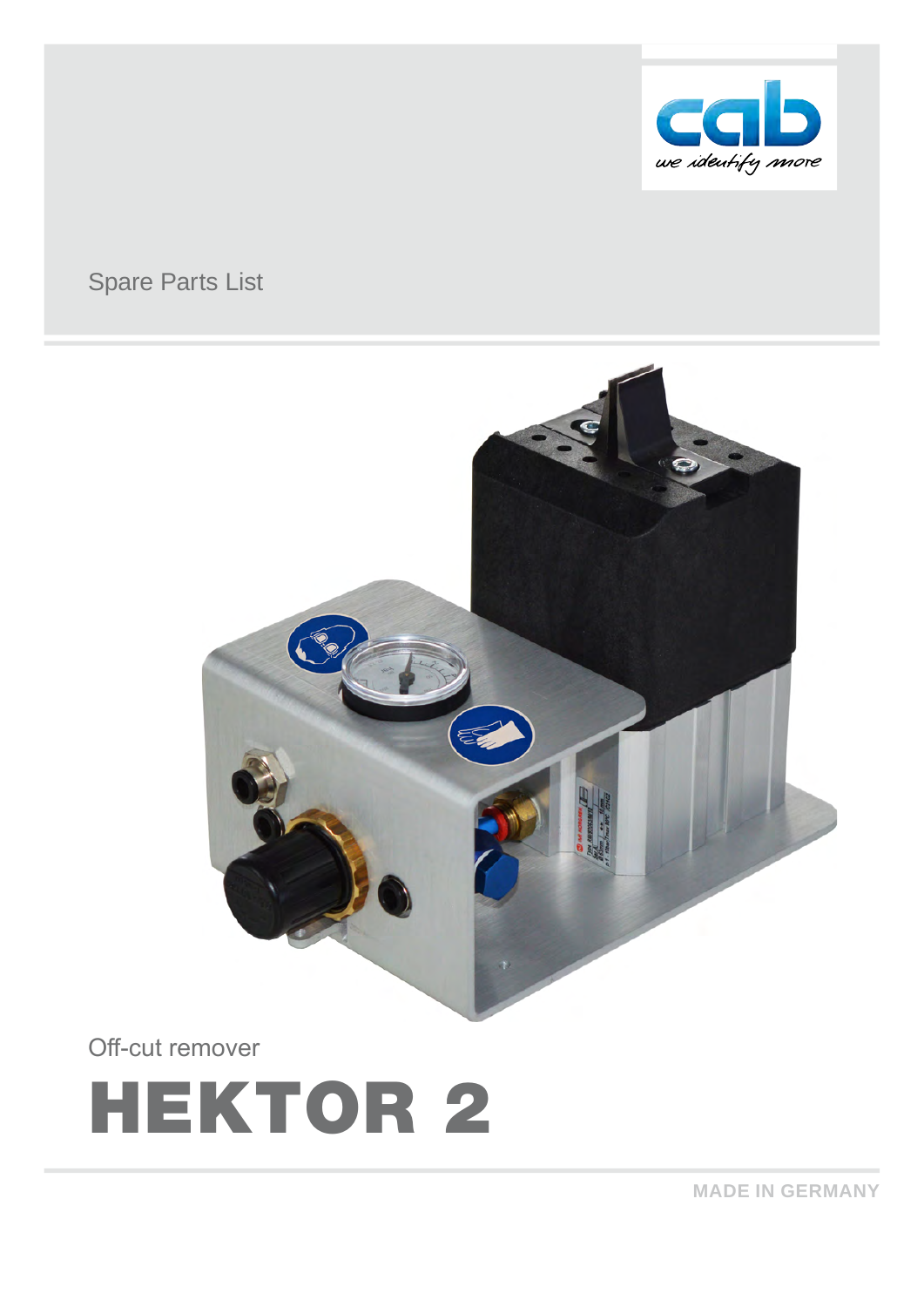

# Spare Parts List



Off-cut remover



**MADE IN GERMANY**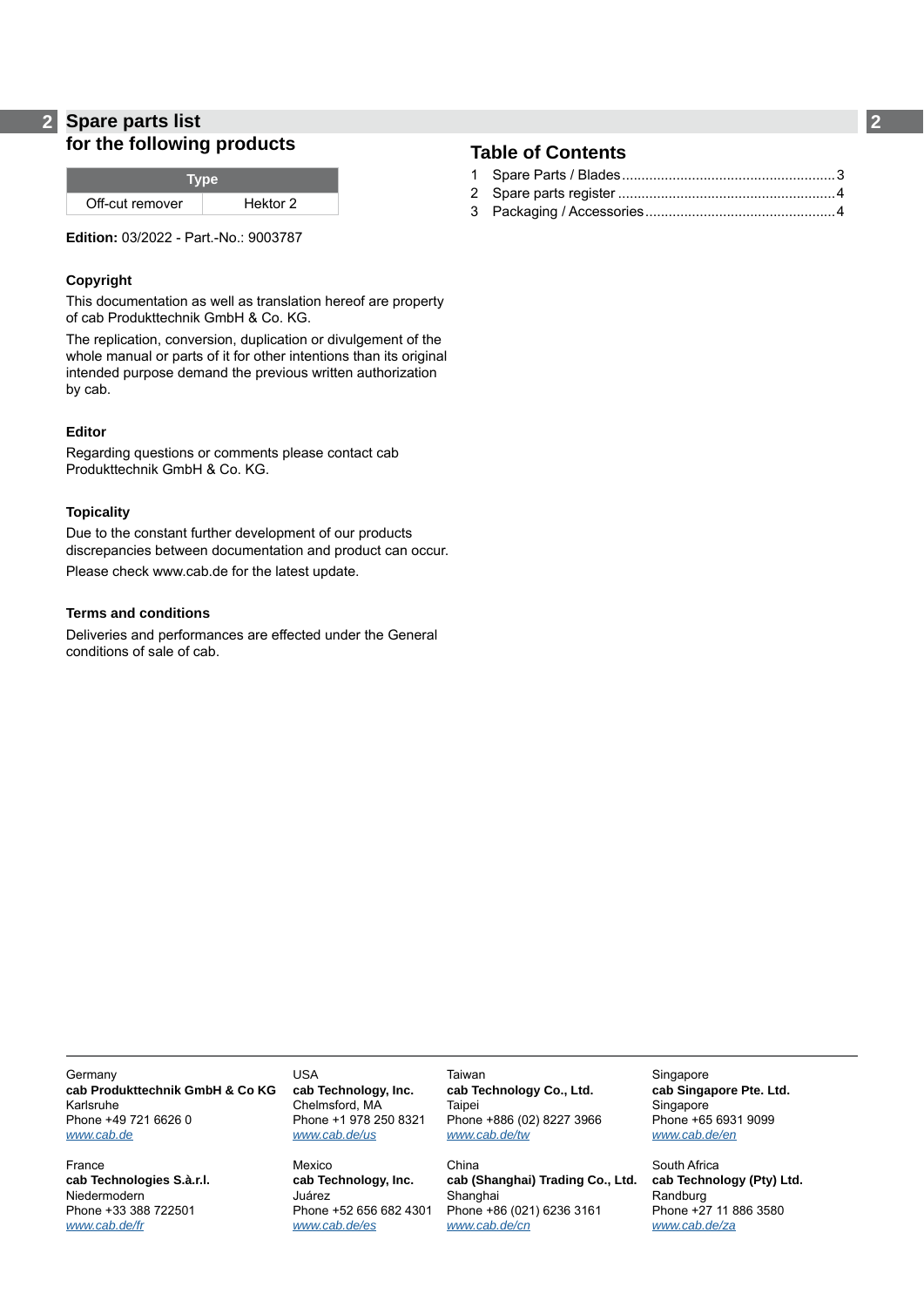### **2 2 Spare parts list for the following products**

| Hektor 2 |
|----------|
|          |

**Edition:** 03/2022 - Part.-No.: 9003787

#### **Copyright**

This documentation as well as translation hereof are property of cab Produkttechnik GmbH & Co. KG.

The replication, conversion, duplication or divulgement of the whole manual or parts of it for other intentions than its original intended purpose demand the previous written authorization by cab.

#### **Editor**

Regarding questions or comments please contact cab Produkttechnik GmbH & Co. KG.

#### **Topicality**

Due to the constant further development of our products discrepancies between documentation and product can occur. Please check www.cab.de for the latest update.

#### **Terms and conditions**

Deliveries and performances are effected under the General conditions of sale of cab.

### **Table of Contents**

**Germany cab Produkttechnik GmbH & Co KG** Karlsruhe Phone +49 721 6626 0 *[www.cab.de](http://www.cab.de)*

France **cab Technologies S.à.r.l.** Niedermodern Phone +33 388 722501 *[www.cab.de/fr](http://www.cab.de/fr)*

USA **cab Technology, Inc.** Chelmsford, MA Phone +1 978 250 8321 *[www.cab.de/us](http://www.cab.de/us)*

Mexico **cab Technology, Inc.** Juárez Phone +52 656 682 4301 *[www.cab.de/es](http://www.cab.de/es)*

Taiwan **cab Technology Co., Ltd. Taipei** Phone +886 (02) 8227 3966 *[www.cab.de/tw](http://www.cab.de/tw)*

China **cab (Shanghai) Trading Co., Ltd.** Shanghai Phone +86 (021) 6236 3161 *[www.cab.de/cn](http://www.cab.de/cn)*

Singapore **cab Singapore Pte. Ltd.** Singapore Phone +65 6931 9099 *[www.cab.de/e](http://www.cab.de/en)n*

South Africa **cab Technology (Pty) Ltd.** Randburg Phone +27 11 886 3580 *[www.cab.de/za](http://www.cab.de/za)*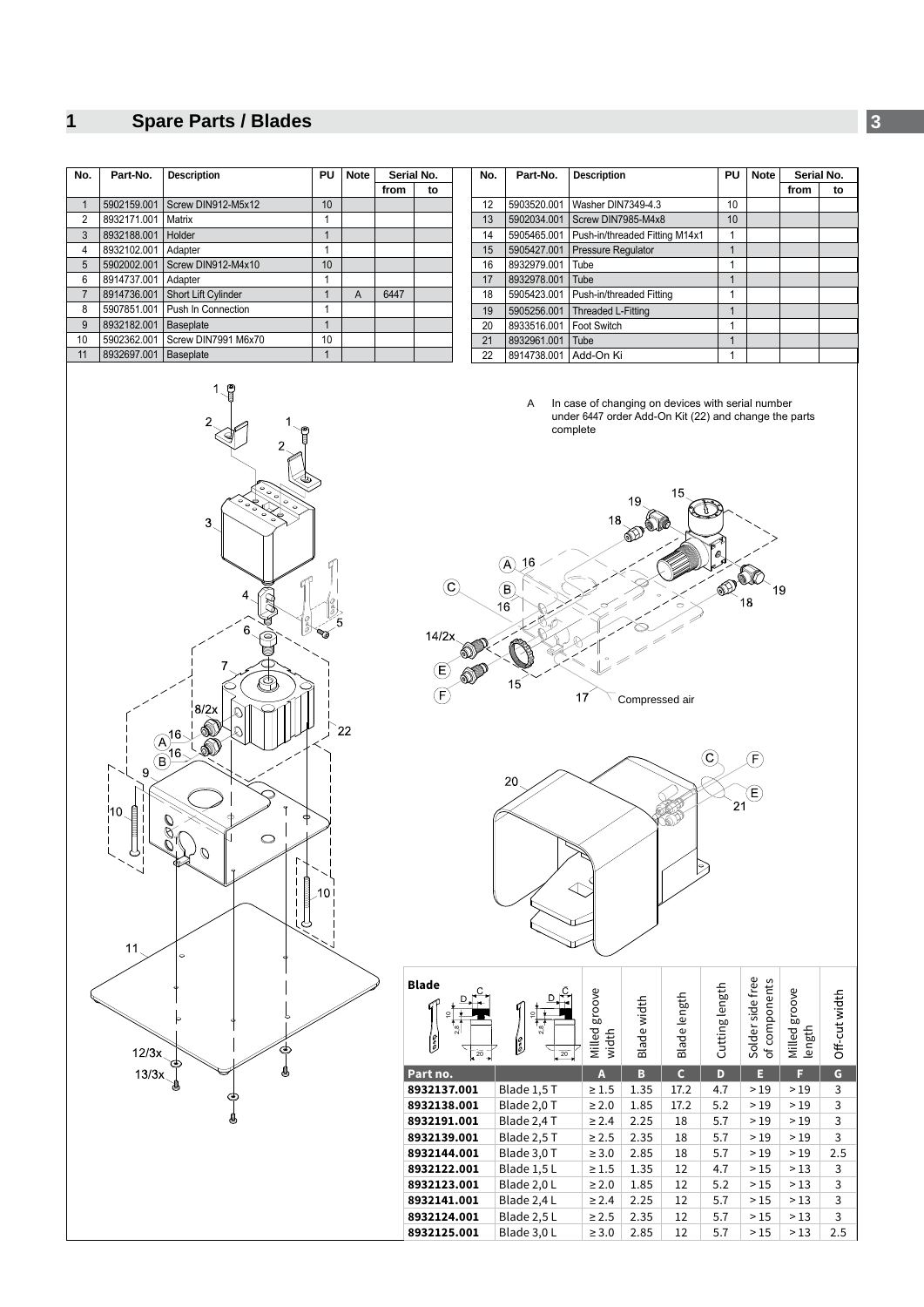## <span id="page-2-0"></span>**1 Spare Parts / Blades 3**

| No.            | Part-No.    | <b>Description</b>  | PU | <b>Note</b> | Serial No. |    |
|----------------|-------------|---------------------|----|-------------|------------|----|
|                |             |                     |    |             | from       | to |
|                | 5902159.001 | Screw DIN912-M5x12  | 10 |             |            |    |
| $\overline{2}$ | 8932171.001 | Matrix              | 1  |             |            |    |
| 3              | 8932188.001 | Holder              |    |             |            |    |
| 4              | 8932102.001 | Adapter             | 1  |             |            |    |
| 5              | 5902002.001 | Screw DIN912-M4x10  | 10 |             |            |    |
| 6              | 8914737.001 | Adapter             | 1  |             |            |    |
| $\overline{7}$ | 8914736.001 | Short Lift Cylinder |    | A           | 6447       |    |
| 8              | 5907851.001 | Push In Connection  | 1  |             |            |    |
| 9              | 8932182.001 | <b>Baseplate</b>    | 1  |             |            |    |
| 10             | 5902362.001 | Screw DIN7991 M6x70 | 10 |             |            |    |
| 11             | 8932697.001 | <b>Baseplate</b>    |    |             |            |    |

| No. | Part-No.    | <b>Note</b><br>PU<br><b>Description</b> |    |  |      | Serial No. |
|-----|-------------|-----------------------------------------|----|--|------|------------|
|     |             |                                         |    |  | from | to         |
| 12  | 5903520.001 | Washer DIN7349-4.3                      | 10 |  |      |            |
| 13  | 5902034.001 | Screw DIN7985-M4x8                      | 10 |  |      |            |
| 14  | 5905465.001 | Push-in/threaded Fitting M14x1          |    |  |      |            |
| 15  | 5905427.001 | Pressure Regulator                      | 1  |  |      |            |
| 16  | 8932979.001 | Tube                                    | 1  |  |      |            |
| 17  | 8932978.001 | Tube                                    |    |  |      |            |
| 18  | 5905423.001 | Push-in/threaded Fitting                | 1  |  |      |            |
| 19  | 5905256.001 | Threaded L-Fitting                      | 1  |  |      |            |
| 20  | 8933516.001 | Foot Switch                             | 1  |  |      |            |
| 21  | 8932961.001 | Tube                                    | 1  |  |      |            |
| 22  | 8914738.001 | Add-On Ki                               |    |  |      |            |

A In case of changing on devices with serial number under 6447 order Add-On Kit (22) and change the parts complete





| <b>Blade</b><br>ă<br>`深<br>1<br>$\frac{1}{20}$ | ۰<br>28<br>ဖြံ့<br>$\overline{20}$ | groove<br>Milled<br>width | Blade width | Blade length | Cutting length | Solder side free<br>components<br>눙 | groove<br>Milled<br>length | Off-cut width |
|------------------------------------------------|------------------------------------|---------------------------|-------------|--------------|----------------|-------------------------------------|----------------------------|---------------|
| Part no.                                       |                                    | A                         | B           | $\mathsf{C}$ | D              | Е                                   | F                          | G             |
| 8932137.001                                    | Blade 1,5 T                        | $\geq 1.5$                | 1.35        | 17.2         | 4.7            | >19                                 | >19                        | 3             |
| 8932138.001                                    | Blade 2,0 T                        | $\geq 2.0$                | 1.85        | 17.2         | 5.2            | >19                                 | >19                        | 3             |
| 8932191.001                                    | Blade 2,4 T                        | $\geq 2.4$                | 2.25        | 18           | 5.7            | >19                                 | >19                        | 3             |
| 8932139.001                                    | Blade 2,5 T                        | $\geq 2.5$                | 2.35        | 18           | 5.7            | >19                                 | >19                        | 3             |
| 8932144.001                                    | Blade 3,0 T                        | $\geq 3.0$                | 2.85        | 18           | 5.7            | >19                                 | >19                        | 2.5           |
| 8932122.001                                    | Blade 1,5L                         | $\geq 1.5$                | 1.35        | 12           | 4.7            | >15                                 | >13                        | 3             |
| 8932123.001                                    | Blade 2,0L                         | $\geq 2.0$                | 1.85        | 12           | 5.2            | >15                                 | >13                        | 3             |
| 8932141.001                                    | Blade 2,4L                         | $\geq 2.4$                | 2.25        | 12           | 5.7            | >15                                 | >13                        | 3             |
| 8932124.001                                    | Blade 2,5L                         | $\geq 2.5$                | 2.35        | 12           | 5.7            | >15                                 | >13                        | 3             |
| 8932125.001                                    | Blade 3,0L                         | $\geq 3.0$                | 2.85        | 12           | 5.7            | >15                                 | >13                        | 2.5           |